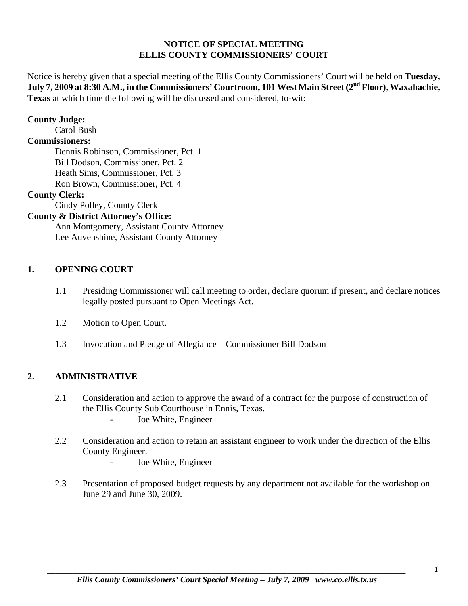## **NOTICE OF SPECIAL MEETING ELLIS COUNTY COMMISSIONERS' COURT**

Notice is hereby given that a special meeting of the Ellis County Commissioners' Court will be held on **Tuesday,**  July 7, 2009 at 8:30 A.M., in the Commissioners' Courtroom, 101 West Main Street (2<sup>nd</sup> Floor), Waxahachie, **Texas** at which time the following will be discussed and considered, to-wit:

### **County Judge:**

Carol Bush

## **Commissioners:**

 Dennis Robinson, Commissioner, Pct. 1 Bill Dodson, Commissioner, Pct. 2 Heath Sims, Commissioner, Pct. 3 Ron Brown, Commissioner, Pct. 4

### **County Clerk:**

Cindy Polley, County Clerk

# **County & District Attorney's Office:**

 Ann Montgomery, Assistant County Attorney Lee Auvenshine, Assistant County Attorney

## **1. OPENING COURT**

- 1.1 Presiding Commissioner will call meeting to order, declare quorum if present, and declare notices legally posted pursuant to Open Meetings Act.
- 1.2 Motion to Open Court.
- 1.3 Invocation and Pledge of Allegiance Commissioner Bill Dodson

## **2. ADMINISTRATIVE**

- 2.1 Consideration and action to approve the award of a contract for the purpose of construction of the Ellis County Sub Courthouse in Ennis, Texas. Joe White, Engineer
- 2.2 Consideration and action to retain an assistant engineer to work under the direction of the Ellis County Engineer.
	- Joe White, Engineer
- 2.3 Presentation of proposed budget requests by any department not available for the workshop on June 29 and June 30, 2009.